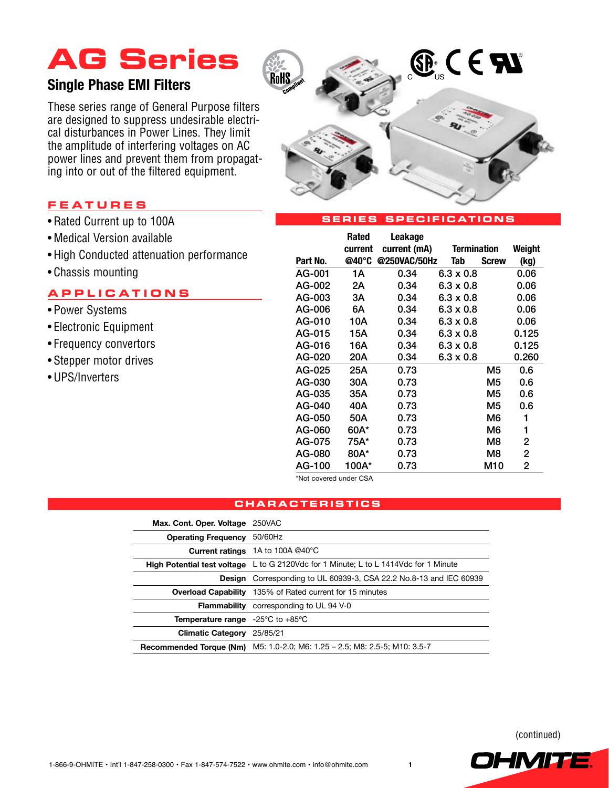# **AG Series**

### **Single Phase EMI Filters**

These series range of General Purpose filters are designed to suppress undesirable electrical disturbances in Power Lines. They limit the amplitude of interfering voltages on AC power lines and prevent them from propagating into or out of the filtered equipment.

### **F e a ture s**

- Rated Current up to 100A
- Medical Version available
- • High Conducted attenuation performance
- Chassis mounting

### **a pplic a tion s**

- Power Systems
- • Electronic Equipment
- • Frequency convertors
- Stepper motor drives
- • UPS/Inverters



#### **SERIES SPECIFICATIONS**

|          | Rated   | Leakage      |                    |              |        |
|----------|---------|--------------|--------------------|--------------|--------|
|          | current | current (mA) | <b>Termination</b> |              | Weight |
| Part No. | @40°C   | @250VAC/50Hz | Tab                | <b>Screw</b> | (kg)   |
| AG-001   | 1А      | 0.34         | $6.3 \times 0.8$   |              | 0.06   |
| AG-002   | 2Α      | 0.34         | $6.3 \times 0.8$   |              | 0.06   |
| AG-003   | ЗA      | 0.34         | $6.3 \times 0.8$   |              | 0.06   |
| AG-006   | 6A      | 0.34         | $6.3 \times 0.8$   |              | 0.06   |
| AG-010   | 10A     | 0.34         | $6.3 \times 0.8$   |              | 0.06   |
| AG-015   | 15A     | 0.34         | $6.3 \times 0.8$   |              | 0.125  |
| AG-016   | 16A     | 0.34         | $6.3 \times 0.8$   |              | 0.125  |
| AG-020   | 20A     | 0.34         | $6.3 \times 0.8$   |              | 0.260  |
| AG-025   | 25A     | 0.73         |                    | M5           | 0.6    |
| AG-030   | 30A     | 0.73         |                    | M5           | 0.6    |
| AG-035   | 35A     | 0.73         |                    | M5           | 0.6    |
| AG-040   | 40A     | 0.73         |                    | M5           | 0.6    |
| AG-050   | 50A     | 0.73         |                    | M6           | 1      |
| AG-060   | 60A*    | 0.73         |                    | M6           | 1      |
| AG-075   | 75A*    | 0.73         |                    | M8           | 2      |
| AG-080   | 80A*    | 0.73         |                    | M8           | 2      |
| AG-100   | 100A*   | 0.73         |                    | M10          | 2      |

\*Not covered under CSA

### **ch a r a cteri s tic s**

| Max. Cont. Oper. Voltage 250VAC                             |                                                                                             |  |  |
|-------------------------------------------------------------|---------------------------------------------------------------------------------------------|--|--|
| <b>Operating Frequency</b>                                  | 50/60Hz                                                                                     |  |  |
|                                                             | <b>Current ratings</b> 1A to 100A @40°C                                                     |  |  |
|                                                             | <b>High Potential test voltage</b> L to G 2120Vdc for 1 Minute; L to L 1414Vdc for 1 Minute |  |  |
| <b>Design</b>                                               | Corresponding to UL 60939-3, CSA 22.2 No.8-13 and IEC 60939                                 |  |  |
|                                                             | <b>Overload Capability</b> 135% of Rated current for 15 minutes                             |  |  |
| <b>Flammability</b>                                         | corresponding to UL 94 V-0                                                                  |  |  |
| <b>Temperature range</b> $-25^{\circ}$ C to $+85^{\circ}$ C |                                                                                             |  |  |
| <b>Climatic Category</b> 25/85/21                           |                                                                                             |  |  |
|                                                             | Recommended Torque (Nm) M5: 1.0-2.0; M6: 1.25 - 2.5; M8: 2.5-5; M10: 3.5-7                  |  |  |

(continued)

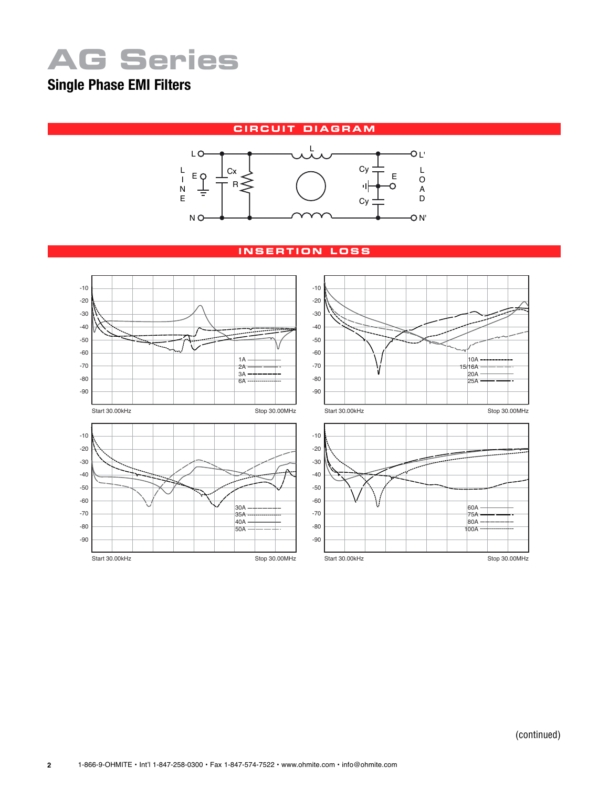# **AG Series**

## **Single Phase EMI Filters**

**CIRCUIT DIAGRAM** 



#### **i n s ertion lo ss**